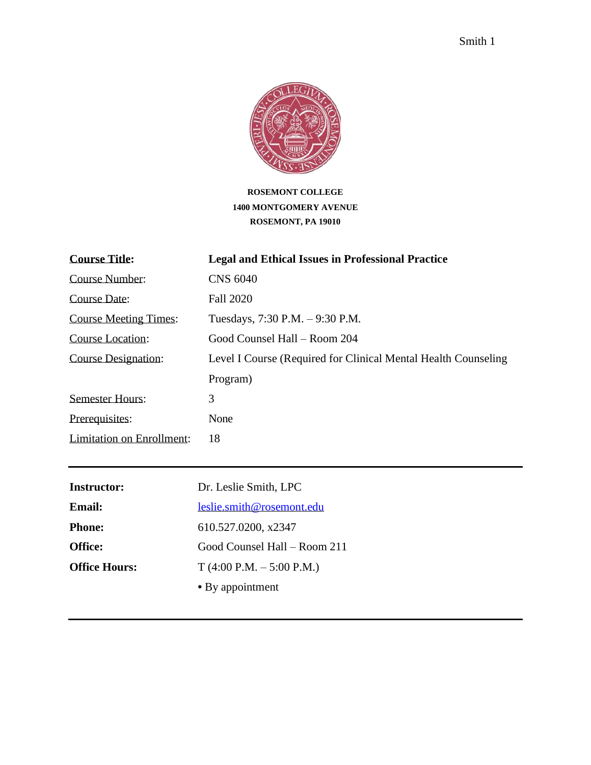# **ROSEMONT COLLEGE 1400 MONTGOMERY AVENUE ROSEMONT, PA 19010**

| <b>Course Title:</b>         | <b>Legal and Ethical Issues in Professional Practice</b>        |
|------------------------------|-----------------------------------------------------------------|
| <b>Course Number:</b>        | <b>CNS 6040</b>                                                 |
| Course Date:                 | <b>Fall 2020</b>                                                |
| <b>Course Meeting Times:</b> | Tuesdays, 7:30 P.M. - 9:30 P.M.                                 |
| Course Location:             | Good Counsel Hall – Room 204                                    |
| <b>Course Designation:</b>   | Level I Course (Required for Clinical Mental Health Counseling) |
|                              | Program)                                                        |
| <b>Semester Hours:</b>       | 3                                                               |
| Prerequisites:               | None                                                            |
| Limitation on Enrollment:    | 18                                                              |

| <b>Instructor:</b>   | Dr. Leslie Smith, LPC        |
|----------------------|------------------------------|
| Email:               | leslie.smith@rosemont.edu    |
| <b>Phone:</b>        | 610.527.0200, x2347          |
| <b>Office:</b>       | Good Counsel Hall – Room 211 |
| <b>Office Hours:</b> | $T(4:00 P.M. - 5:00 P.M.)$   |
|                      | • By appointment             |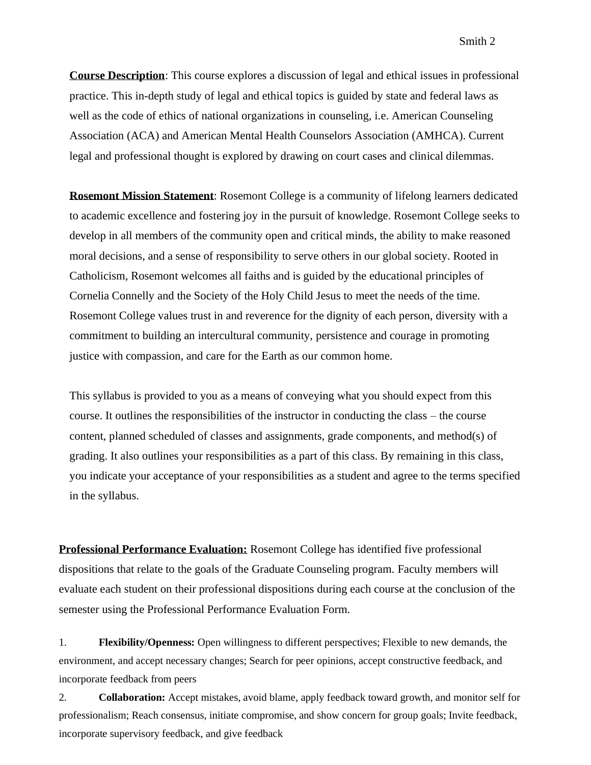**Course Description**: This course explores a discussion of legal and ethical issues in professional practice. This in-depth study of legal and ethical topics is guided by state and federal laws as well as the code of ethics of national organizations in counseling, i.e. American Counseling Association (ACA) and American Mental Health Counselors Association (AMHCA). Current legal and professional thought is explored by drawing on court cases and clinical dilemmas.

**Rosemont Mission Statement**: Rosemont College is a community of lifelong learners dedicated to academic excellence and fostering joy in the pursuit of knowledge. Rosemont College seeks to develop in all members of the community open and critical minds, the ability to make reasoned moral decisions, and a sense of responsibility to serve others in our global society. Rooted in Catholicism, Rosemont welcomes all faiths and is guided by the educational principles of Cornelia Connelly and the Society of the Holy Child Jesus to meet the needs of the time. Rosemont College values trust in and reverence for the dignity of each person, diversity with a commitment to building an intercultural community, persistence and courage in promoting justice with compassion, and care for the Earth as our common home.

This syllabus is provided to you as a means of conveying what you should expect from this course. It outlines the responsibilities of the instructor in conducting the class – the course content, planned scheduled of classes and assignments, grade components, and method(s) of grading. It also outlines your responsibilities as a part of this class. By remaining in this class, you indicate your acceptance of your responsibilities as a student and agree to the terms specified in the syllabus.

**Professional Performance Evaluation:** Rosemont College has identified five professional dispositions that relate to the goals of the Graduate Counseling program. Faculty members will evaluate each student on their professional dispositions during each course at the conclusion of the semester using the Professional Performance Evaluation Form.

1. **Flexibility/Openness:** Open willingness to different perspectives; Flexible to new demands, the environment, and accept necessary changes; Search for peer opinions, accept constructive feedback, and incorporate feedback from peers

2. **Collaboration:** Accept mistakes, avoid blame, apply feedback toward growth, and monitor self for professionalism; Reach consensus, initiate compromise, and show concern for group goals; Invite feedback, incorporate supervisory feedback, and give feedback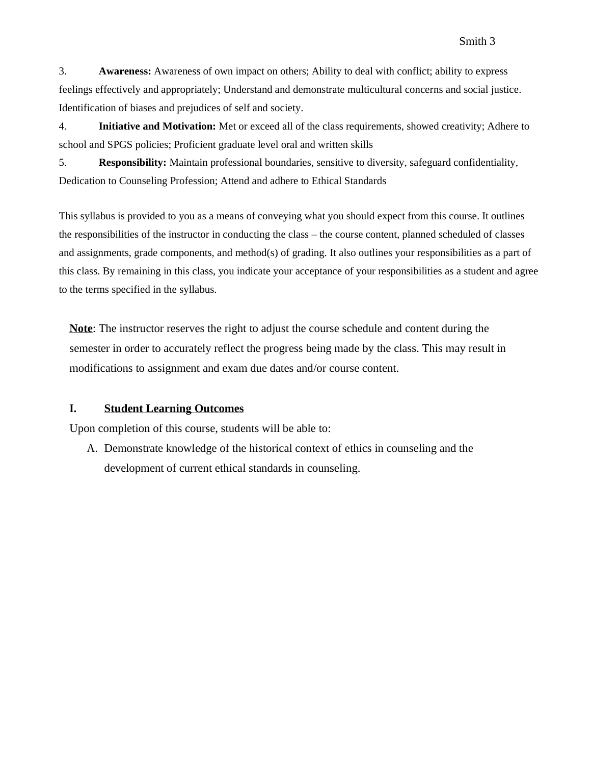3. **Awareness:** Awareness of own impact on others; Ability to deal with conflict; ability to express feelings effectively and appropriately; Understand and demonstrate multicultural concerns and social justice. Identification of biases and prejudices of self and society.

4. **Initiative and Motivation:** Met or exceed all of the class requirements, showed creativity; Adhere to school and SPGS policies; Proficient graduate level oral and written skills

5. **Responsibility:** Maintain professional boundaries, sensitive to diversity, safeguard confidentiality, Dedication to Counseling Profession; Attend and adhere to Ethical Standards

This syllabus is provided to you as a means of conveying what you should expect from this course. It outlines the responsibilities of the instructor in conducting the class – the course content, planned scheduled of classes and assignments, grade components, and method(s) of grading. It also outlines your responsibilities as a part of this class. By remaining in this class, you indicate your acceptance of your responsibilities as a student and agree to the terms specified in the syllabus.

**Note**: The instructor reserves the right to adjust the course schedule and content during the semester in order to accurately reflect the progress being made by the class. This may result in modifications to assignment and exam due dates and/or course content.

#### **I. Student Learning Outcomes**

Upon completion of this course, students will be able to:

A. Demonstrate knowledge of the historical context of ethics in counseling and the development of current ethical standards in counseling.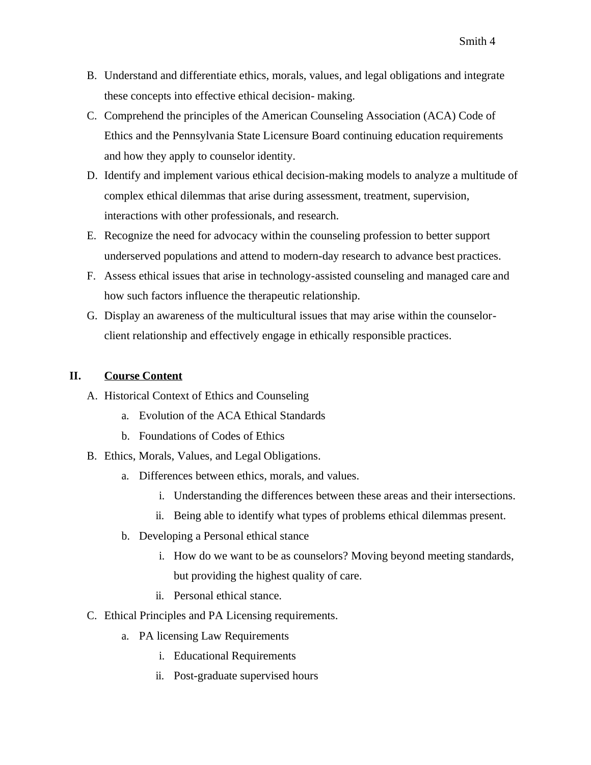- B. Understand and differentiate ethics, morals, values, and legal obligations and integrate these concepts into effective ethical decision- making.
- C. Comprehend the principles of the American Counseling Association (ACA) Code of Ethics and the Pennsylvania State Licensure Board continuing education requirements and how they apply to counselor identity.
- D. Identify and implement various ethical decision-making models to analyze a multitude of complex ethical dilemmas that arise during assessment, treatment, supervision, interactions with other professionals, and research.
- E. Recognize the need for advocacy within the counseling profession to better support underserved populations and attend to modern-day research to advance best practices.
- F. Assess ethical issues that arise in technology-assisted counseling and managed care and how such factors influence the therapeutic relationship.
- G. Display an awareness of the multicultural issues that may arise within the counselorclient relationship and effectively engage in ethically responsible practices.

# **II. Course Content**

- A. Historical Context of Ethics and Counseling
	- a. Evolution of the ACA Ethical Standards
	- b. Foundations of Codes of Ethics
- B. Ethics, Morals, Values, and Legal Obligations.
	- a. Differences between ethics, morals, and values.
		- i. Understanding the differences between these areas and their intersections.
		- ii. Being able to identify what types of problems ethical dilemmas present.
	- b. Developing a Personal ethical stance
		- i. How do we want to be as counselors? Moving beyond meeting standards, but providing the highest quality of care.
		- ii. Personal ethical stance.
- C. Ethical Principles and PA Licensing requirements.
	- a. PA licensing Law Requirements
		- i. Educational Requirements
		- ii. Post-graduate supervised hours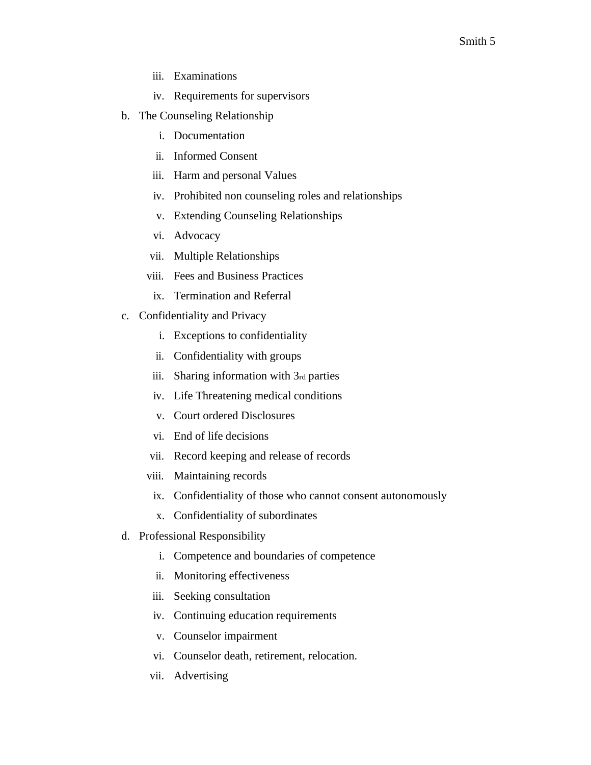- iii. Examinations
- iv. Requirements for supervisors
- b. The Counseling Relationship
	- i. Documentation
	- ii. Informed Consent
	- iii. Harm and personal Values
	- iv. Prohibited non counseling roles and relationships
	- v. Extending Counseling Relationships
	- vi. Advocacy
	- vii. Multiple Relationships
	- viii. Fees and Business Practices
	- ix. Termination and Referral
- c. Confidentiality and Privacy
	- i. Exceptions to confidentiality
	- ii. Confidentiality with groups
	- iii. Sharing information with 3rd parties
	- iv. Life Threatening medical conditions
	- v. Court ordered Disclosures
	- vi. End of life decisions
	- vii. Record keeping and release of records
	- viii. Maintaining records
	- ix. Confidentiality of those who cannot consent autonomously
	- x. Confidentiality of subordinates
- d. Professional Responsibility
	- i. Competence and boundaries of competence
	- ii. Monitoring effectiveness
	- iii. Seeking consultation
	- iv. Continuing education requirements
	- v. Counselor impairment
	- vi. Counselor death, retirement, relocation.
	- vii. Advertising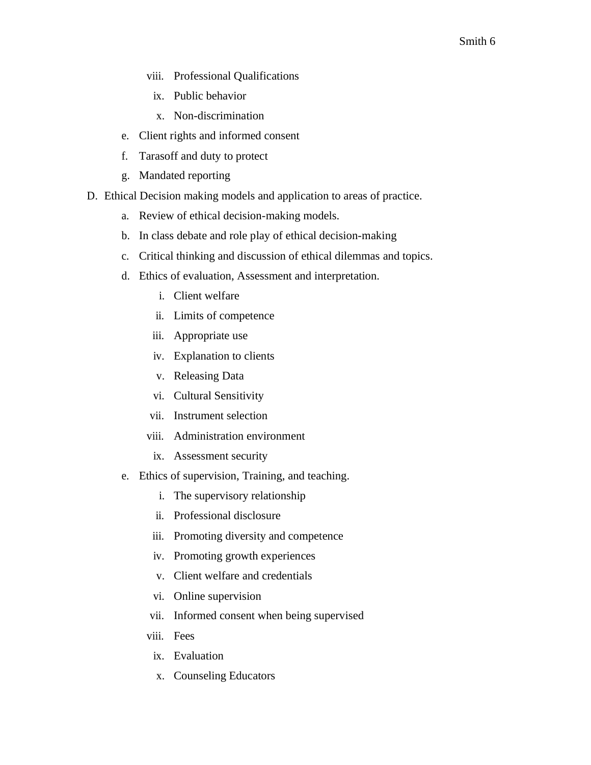- viii. Professional Qualifications
	- ix. Public behavior
	- x. Non-discrimination
- e. Client rights and informed consent
- f. Tarasoff and duty to protect
- g. Mandated reporting
- D. Ethical Decision making models and application to areas of practice.
	- a. Review of ethical decision-making models.
	- b. In class debate and role play of ethical decision-making
	- c. Critical thinking and discussion of ethical dilemmas and topics.
	- d. Ethics of evaluation, Assessment and interpretation.
		- i. Client welfare
		- ii. Limits of competence
		- iii. Appropriate use
		- iv. Explanation to clients
		- v. Releasing Data
		- vi. Cultural Sensitivity
		- vii. Instrument selection
		- viii. Administration environment
			- ix. Assessment security
	- e. Ethics of supervision, Training, and teaching.
		- i. The supervisory relationship
		- ii. Professional disclosure
		- iii. Promoting diversity and competence
		- iv. Promoting growth experiences
		- v. Client welfare and credentials
		- vi. Online supervision
		- vii. Informed consent when being supervised
		- viii. Fees
		- ix. Evaluation
		- x. Counseling Educators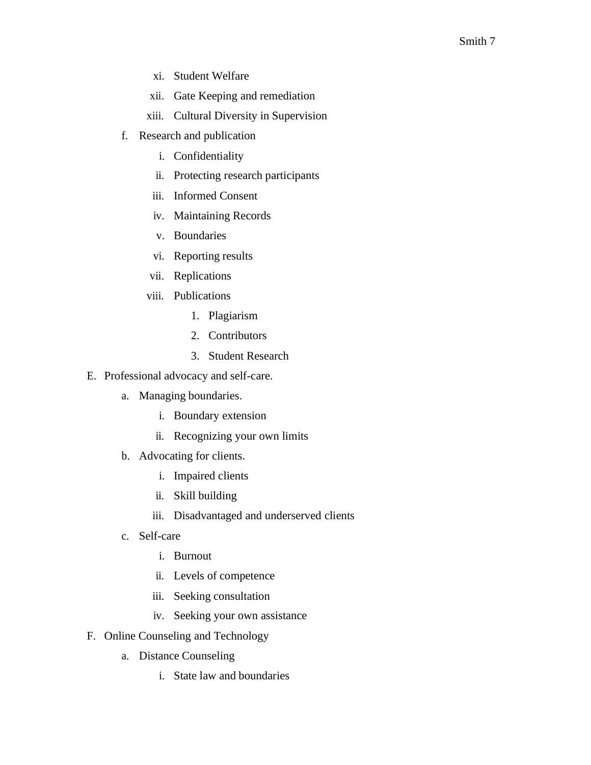- xi. Student Welfare
- xii. Gate Keeping and remediation
- xiii. Cultural Diversity in Supervision
- f. Research and publication
	- i. Confidentiality
	- ii. Protecting research participants
	- iii. Informed Consent
	- iv. Maintaining Records
	- v. Boundaries
	- vi. Reporting results
	- vii. Replications
	- viii. Publications
		- 1. Plagiarism
		- 2. Contributors
		- 3. Student Research
- E. Professional advocacy and self-care.
	- a. Managing boundaries.
		- i. Boundary extension
		- ii. Recognizing your own limits
	- b. Advocating for clients.
		- i. Impaired clients
		- ii. Skill building
		- iii. Disadvantaged and underserved clients
	- c. Self-care
		- i. Burnout
		- ii. Levels of competence
		- iii. Seeking consultation
		- iv. Seeking your own assistance
- F. Online Counseling and Technology
	- a. Distance Counseling
		- i. State law and boundaries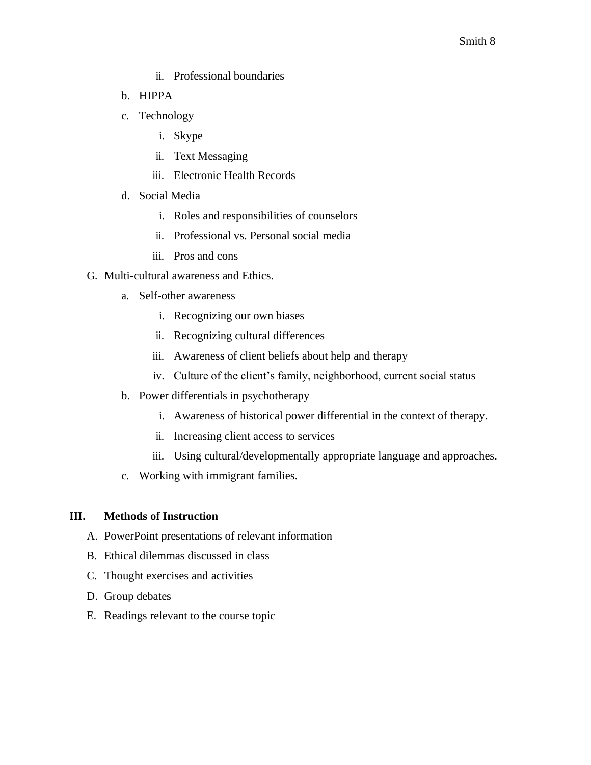- ii. Professional boundaries
- b. HIPPA
- c. Technology
	- i. Skype
	- ii. Text Messaging
	- iii. Electronic Health Records
- d. Social Media
	- i. Roles and responsibilities of counselors
	- ii. Professional vs. Personal social media
	- iii. Pros and cons
- G. Multi-cultural awareness and Ethics.
	- a. Self-other awareness
		- i. Recognizing our own biases
		- ii. Recognizing cultural differences
		- iii. Awareness of client beliefs about help and therapy
		- iv. Culture of the client's family, neighborhood, current social status
	- b. Power differentials in psychotherapy
		- i. Awareness of historical power differential in the context of therapy.
		- ii. Increasing client access to services
		- iii. Using cultural/developmentally appropriate language and approaches.
	- c. Working with immigrant families.

#### **III. Methods of Instruction**

- A. PowerPoint presentations of relevant information
- B. Ethical dilemmas discussed in class
- C. Thought exercises and activities
- D. Group debates
- E. Readings relevant to the course topic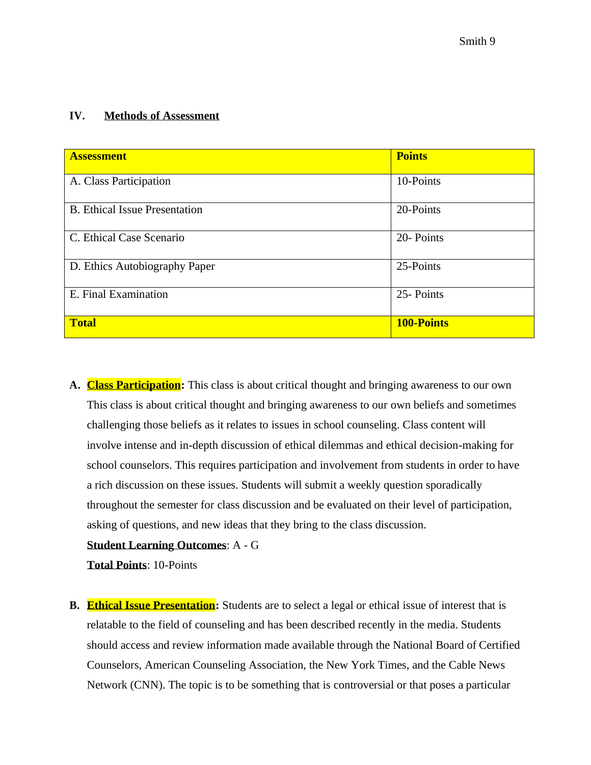#### **IV. Methods of Assessment**

| <b>Assessment</b>                    | <b>Points</b>     |
|--------------------------------------|-------------------|
| A. Class Participation               | 10-Points         |
| <b>B.</b> Ethical Issue Presentation | 20-Points         |
| C. Ethical Case Scenario             | 20- Points        |
| D. Ethics Autobiography Paper        | 25-Points         |
| E. Final Examination                 | 25- Points        |
| <b>Total</b>                         | <b>100-Points</b> |

**A. Class Participation:** This class is about critical thought and bringing awareness to our own This class is about critical thought and bringing awareness to our own beliefs and sometimes challenging those beliefs as it relates to issues in school counseling. Class content will involve intense and in-depth discussion of ethical dilemmas and ethical decision-making for school counselors. This requires participation and involvement from students in order to have a rich discussion on these issues. Students will submit a weekly question sporadically throughout the semester for class discussion and be evaluated on their level of participation, asking of questions, and new ideas that they bring to the class discussion.

#### **Student Learning Outcomes**: A - G

**Total Points**: 10-Points

**B. Ethical Issue Presentation:** Students are to select a legal or ethical issue of interest that is relatable to the field of counseling and has been described recently in the media. Students should access and review information made available through the National Board of Certified Counselors, American Counseling Association, the New York Times, and the Cable News Network (CNN). The topic is to be something that is controversial or that poses a particular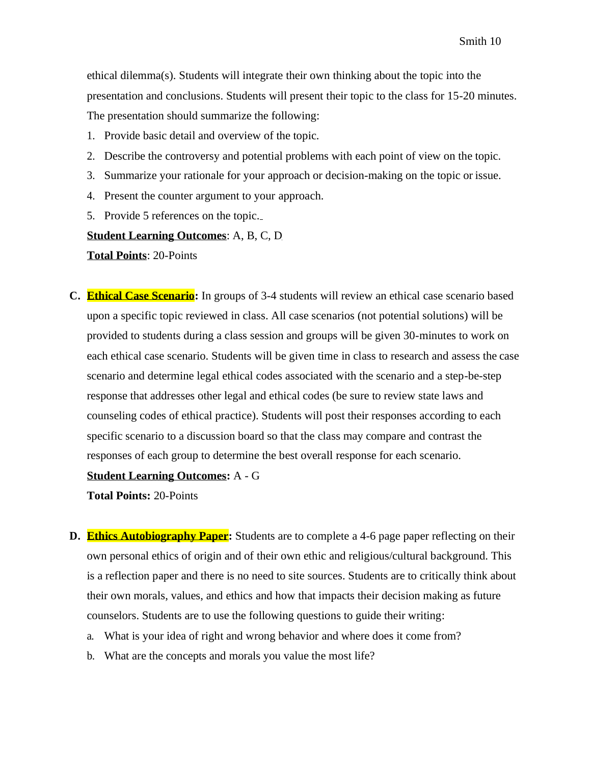ethical dilemma(s). Students will integrate their own thinking about the topic into the presentation and conclusions. Students will present their topic to the class for 15-20 minutes. The presentation should summarize the following:

- 1. Provide basic detail and overview of the topic.
- 2. Describe the controversy and potential problems with each point of view on the topic.
- 3. Summarize your rationale for your approach or decision-making on the topic or issue.
- 4. Present the counter argument to your approach.
- 5. Provide 5 references on the topic.

#### **Student Learning Outcomes**: A, B, C, D

**Total Points**: 20-Points

**C. Ethical Case Scenario:** In groups of 3-4 students will review an ethical case scenario based upon a specific topic reviewed in class. All case scenarios (not potential solutions) will be provided to students during a class session and groups will be given 30-minutes to work on each ethical case scenario. Students will be given time in class to research and assess the case scenario and determine legal ethical codes associated with the scenario and a step-be-step response that addresses other legal and ethical codes (be sure to review state laws and counseling codes of ethical practice). Students will post their responses according to each specific scenario to a discussion board so that the class may compare and contrast the responses of each group to determine the best overall response for each scenario.

#### **Student Learning Outcomes:** A - G

**Total Points:** 20-Points

- **D. Ethics Autobiography Paper:** Students are to complete a 4-6 page paper reflecting on their own personal ethics of origin and of their own ethic and religious/cultural background. This is a reflection paper and there is no need to site sources. Students are to critically think about their own morals, values, and ethics and how that impacts their decision making as future counselors. Students are to use the following questions to guide their writing:
	- a. What is your idea of right and wrong behavior and where does it come from?
	- b. What are the concepts and morals you value the most life?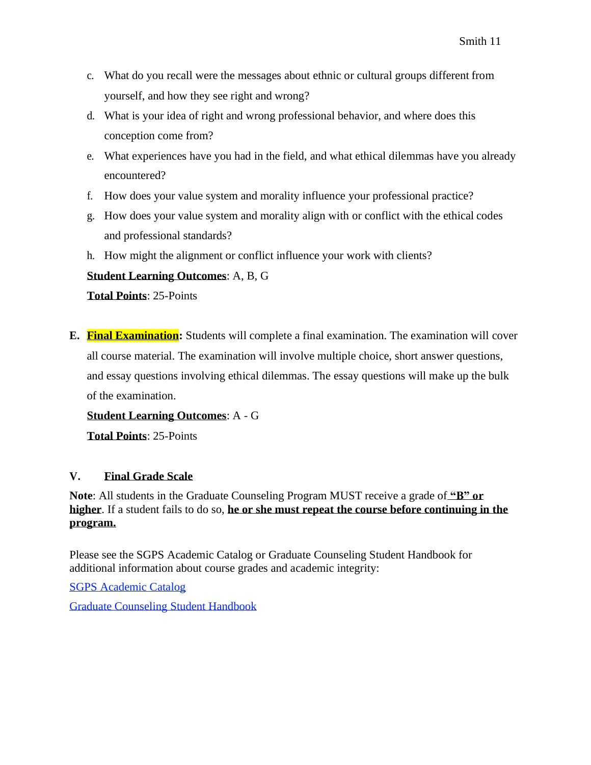- c. What do you recall were the messages about ethnic or cultural groups different from yourself, and how they see right and wrong?
- d. What is your idea of right and wrong professional behavior, and where does this conception come from?
- e. What experiences have you had in the field, and what ethical dilemmas have you already encountered?
- f. How does your value system and morality influence your professional practice?
- g. How does your value system and morality align with or conflict with the ethical codes and professional standards?
- h. How might the alignment or conflict influence your work with clients?

# **Student Learning Outcomes**: A, B, G

**Total Points**: 25-Points

**E. Final Examination:** Students will complete a final examination. The examination will cover all course material. The examination will involve multiple choice, short answer questions, and essay questions involving ethical dilemmas. The essay questions will make up the bulk of the examination.

**Student Learning Outcomes**: A - G

**Total Points**: 25-Points

# **V. Final Grade Scale**

**Note**: All students in the Graduate Counseling Program MUST receive a grade of **"B" or higher**. If a student fails to do so, **he or she must repeat the course before continuing in the program.**

Please see the SGPS Academic Catalog or Graduate Counseling Student Handbook for additional information about course grades and academic integrity:

SGPS Academic Catalog

Graduate Counseling Student Handbook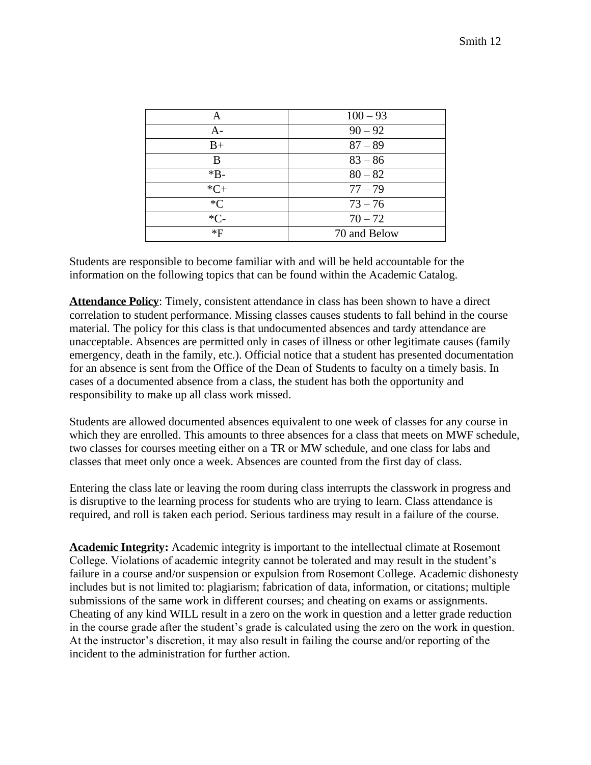| Α                | $100 - 93$   |
|------------------|--------------|
| A-               | $90 - 92$    |
| $B+$             | $87 - 89$    |
| B                | $83 - 86$    |
| $*B-$            | $80 - 82$    |
| $*C+$            | $77 - 79$    |
| $*_{\mathbb{C}}$ | $73 - 76$    |
| $*C-$            | $70 - 72$    |
| *F               | 70 and Below |

Students are responsible to become familiar with and will be held accountable for the information on the following topics that can be found within the Academic Catalog.

**Attendance Policy**: Timely, consistent attendance in class has been shown to have a direct correlation to student performance. Missing classes causes students to fall behind in the course material. The policy for this class is that undocumented absences and tardy attendance are unacceptable. Absences are permitted only in cases of illness or other legitimate causes (family emergency, death in the family, etc.). Official notice that a student has presented documentation for an absence is sent from the Office of the Dean of Students to faculty on a timely basis. In cases of a documented absence from a class, the student has both the opportunity and responsibility to make up all class work missed.

Students are allowed documented absences equivalent to one week of classes for any course in which they are enrolled. This amounts to three absences for a class that meets on MWF schedule, two classes for courses meeting either on a TR or MW schedule, and one class for labs and classes that meet only once a week. Absences are counted from the first day of class.

Entering the class late or leaving the room during class interrupts the classwork in progress and is disruptive to the learning process for students who are trying to learn. Class attendance is required, and roll is taken each period. Serious tardiness may result in a failure of the course.

**Academic Integrity:** Academic integrity is important to the intellectual climate at Rosemont College. Violations of academic integrity cannot be tolerated and may result in the student's failure in a course and/or suspension or expulsion from Rosemont College. Academic dishonesty includes but is not limited to: plagiarism; fabrication of data, information, or citations; multiple submissions of the same work in different courses; and cheating on exams or assignments. Cheating of any kind WILL result in a zero on the work in question and a letter grade reduction in the course grade after the student's grade is calculated using the zero on the work in question. At the instructor's discretion, it may also result in failing the course and/or reporting of the incident to the administration for further action.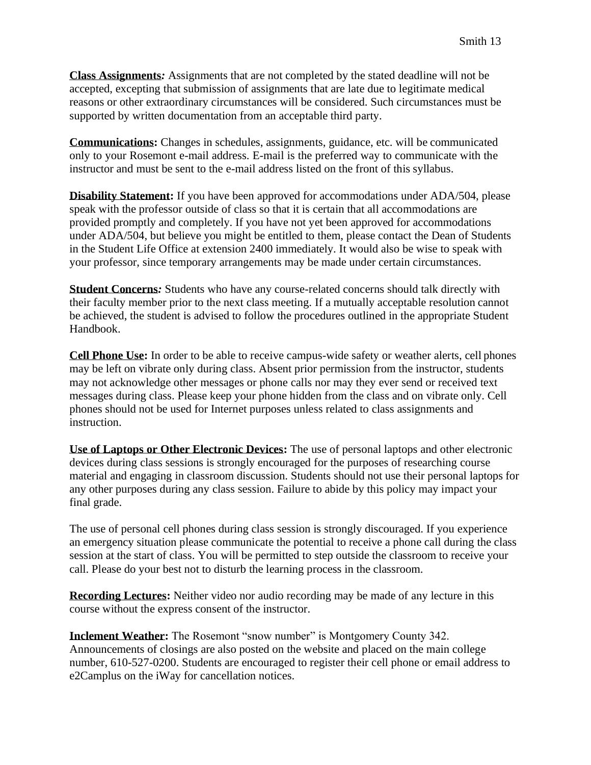**Class Assignments***:* Assignments that are not completed by the stated deadline will not be accepted, excepting that submission of assignments that are late due to legitimate medical reasons or other extraordinary circumstances will be considered. Such circumstances must be supported by written documentation from an acceptable third party.

**Communications:** Changes in schedules, assignments, guidance, etc. will be communicated only to your Rosemont e-mail address. E-mail is the preferred way to communicate with the instructor and must be sent to the e-mail address listed on the front of this syllabus.

**Disability Statement:** If you have been approved for accommodations under ADA/504, please speak with the professor outside of class so that it is certain that all accommodations are provided promptly and completely. If you have not yet been approved for accommodations under ADA/504, but believe you might be entitled to them, please contact the Dean of Students in the Student Life Office at extension 2400 immediately. It would also be wise to speak with your professor, since temporary arrangements may be made under certain circumstances.

**Student Concerns***:* Students who have any course-related concerns should talk directly with their faculty member prior to the next class meeting. If a mutually acceptable resolution cannot be achieved, the student is advised to follow the procedures outlined in the appropriate Student Handbook.

**Cell Phone Use:** In order to be able to receive campus-wide safety or weather alerts, cell phones may be left on vibrate only during class. Absent prior permission from the instructor, students may not acknowledge other messages or phone calls nor may they ever send or received text messages during class. Please keep your phone hidden from the class and on vibrate only. Cell phones should not be used for Internet purposes unless related to class assignments and instruction.

**Use of Laptops or Other Electronic Devices:** The use of personal laptops and other electronic devices during class sessions is strongly encouraged for the purposes of researching course material and engaging in classroom discussion. Students should not use their personal laptops for any other purposes during any class session. Failure to abide by this policy may impact your final grade.

The use of personal cell phones during class session is strongly discouraged. If you experience an emergency situation please communicate the potential to receive a phone call during the class session at the start of class. You will be permitted to step outside the classroom to receive your call. Please do your best not to disturb the learning process in the classroom.

**Recording Lectures:** Neither video nor audio recording may be made of any lecture in this course without the express consent of the instructor.

**Inclement Weather:** The Rosemont "snow number" is Montgomery County 342. Announcements of closings are also posted on the website and placed on the main college number, 610-527-0200. Students are encouraged to register their cell phone or email address to e2Camplus on the iWay for cancellation notices.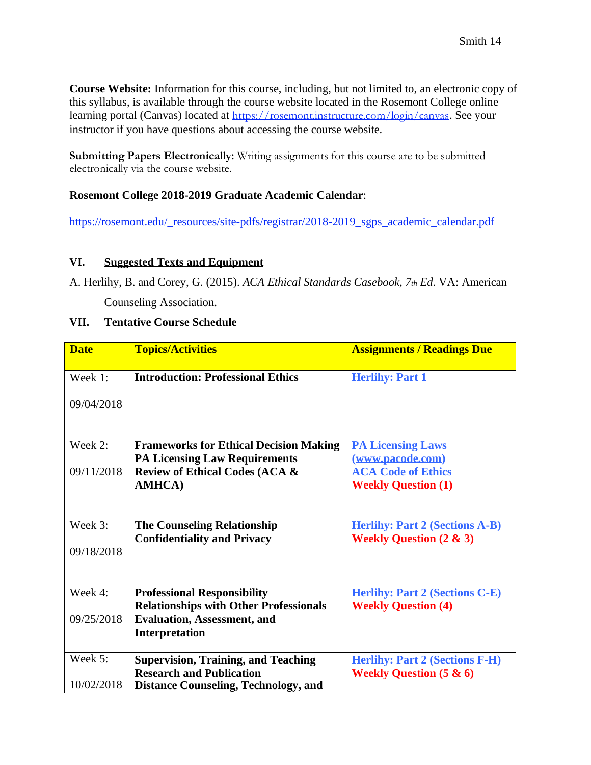**Course Website:** Information for this course, including, but not limited to, an electronic copy of this syllabus, is available through the course website located in the Rosemont College online learning portal (Canvas) located at <https://rosemont.instructure.com/login/canvas>. See your instructor if you have questions about accessing the course website.

**Submitting Papers Electronically:** Writing assignments for this course are to be submitted electronically via the course website.

# **Rosemont College 2018-2019 Graduate Academic Calendar**:

[https://rosemont.edu/\\_resources/site-pdfs/registrar/2018-2019\\_sgps\\_academic\\_calendar.pdf](https://rosemont.edu/_resources/site-pdfs/registrar/2018-2019_sgps_academic_calendar.pdf)

# **VI. Suggested Texts and Equipment**

A. Herlihy, B. and Corey, G. (2015). *ACA Ethical Standards Casebook, 7th Ed*. VA: American Counseling Association.

# **VII. Tentative Course Schedule**

| <b>Date</b>           | <b>Topics/Activities</b>                                                            | <b>Assignments / Readings Due</b>                                           |
|-----------------------|-------------------------------------------------------------------------------------|-----------------------------------------------------------------------------|
| Week 1:               | <b>Introduction: Professional Ethics</b>                                            | <b>Herlihy: Part 1</b>                                                      |
| 09/04/2018            |                                                                                     |                                                                             |
| Week 2:               | <b>Frameworks for Ethical Decision Making</b>                                       | <b>PA Licensing Laws</b>                                                    |
|                       | <b>PA Licensing Law Requirements</b>                                                | (www.pacode.com)                                                            |
| 09/11/2018            | Review of Ethical Codes (ACA &                                                      | <b>ACA Code of Ethics</b>                                                   |
|                       | <b>AMHCA</b> )                                                                      | <b>Weekly Question (1)</b>                                                  |
| Week 3:<br>09/18/2018 | <b>The Counseling Relationship</b><br><b>Confidentiality and Privacy</b>            | <b>Herlihy: Part 2 (Sections A-B)</b><br><b>Weekly Question (2 &amp; 3)</b> |
|                       |                                                                                     |                                                                             |
| Week 4:               | <b>Professional Responsibility</b><br><b>Relationships with Other Professionals</b> | <b>Herlihy: Part 2 (Sections C-E)</b><br><b>Weekly Question (4)</b>         |
| 09/25/2018            | <b>Evaluation, Assessment, and</b>                                                  |                                                                             |
|                       | Interpretation                                                                      |                                                                             |
| Week 5:               | <b>Supervision, Training, and Teaching</b>                                          | <b>Herlihy: Part 2 (Sections F-H)</b>                                       |
|                       | <b>Research and Publication</b>                                                     | <b>Weekly Question (5 &amp; 6)</b>                                          |
| 10/02/2018            | <b>Distance Counseling, Technology, and</b>                                         |                                                                             |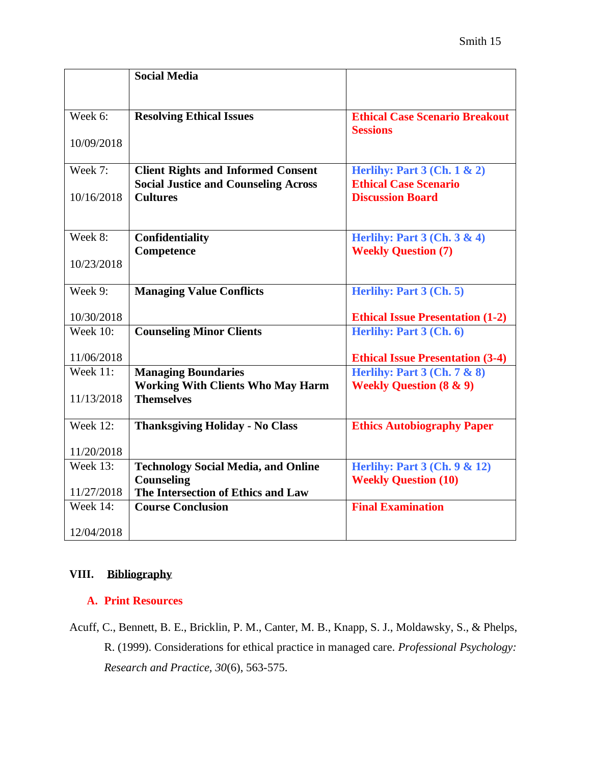|                 | <b>Social Media</b>                                                    |                                                                        |
|-----------------|------------------------------------------------------------------------|------------------------------------------------------------------------|
|                 |                                                                        |                                                                        |
|                 |                                                                        |                                                                        |
| Week 6:         | <b>Resolving Ethical Issues</b>                                        | <b>Ethical Case Scenario Breakout</b><br><b>Sessions</b>               |
| 10/09/2018      |                                                                        |                                                                        |
|                 |                                                                        |                                                                        |
| Week 7:         | <b>Client Rights and Informed Consent</b>                              | Herlihy: Part $3$ (Ch. $1 \& 2$ )                                      |
|                 | <b>Social Justice and Counseling Across</b>                            | <b>Ethical Case Scenario</b>                                           |
| 10/16/2018      | <b>Cultures</b>                                                        | <b>Discussion Board</b>                                                |
|                 |                                                                        |                                                                        |
| Week 8:         | Confidentiality                                                        | Herlihy: Part $3$ (Ch. $3 \& 4$ )                                      |
|                 | Competence                                                             | <b>Weekly Question (7)</b>                                             |
| 10/23/2018      |                                                                        |                                                                        |
|                 |                                                                        |                                                                        |
| Week 9:         | <b>Managing Value Conflicts</b>                                        | Herlihy: Part 3 (Ch. 5)                                                |
| 10/30/2018      |                                                                        | <b>Ethical Issue Presentation (1-2)</b>                                |
| <b>Week 10:</b> | <b>Counseling Minor Clients</b>                                        | Herlihy: Part 3 (Ch. 6)                                                |
|                 |                                                                        |                                                                        |
| 11/06/2018      |                                                                        | <b>Ethical Issue Presentation (3-4)</b>                                |
| <b>Week 11:</b> | <b>Managing Boundaries</b><br><b>Working With Clients Who May Harm</b> | Herlihy: Part $3$ (Ch. $7 & 8$ )<br><b>Weekly Question (8 &amp; 9)</b> |
| 11/13/2018      | <b>Themselves</b>                                                      |                                                                        |
|                 |                                                                        |                                                                        |
| <b>Week 12:</b> | <b>Thanksgiving Holiday - No Class</b>                                 | <b>Ethics Autobiography Paper</b>                                      |
|                 |                                                                        |                                                                        |
| 11/20/2018      |                                                                        |                                                                        |
| <b>Week 13:</b> | <b>Technology Social Media, and Online</b><br>Counseling               | <b>Herlihy: Part 3 (Ch. 9 &amp; 12)</b><br><b>Weekly Question (10)</b> |
| 11/27/2018      | The Intersection of Ethics and Law                                     |                                                                        |
| <b>Week 14:</b> | <b>Course Conclusion</b>                                               | <b>Final Examination</b>                                               |
|                 |                                                                        |                                                                        |
| 12/04/2018      |                                                                        |                                                                        |

# **VIII. Bibliography**

# **A. Print Resources**

Acuff, C., Bennett, B. E., Bricklin, P. M., Canter, M. B., Knapp, S. J., Moldawsky, S., & Phelps, R. (1999). Considerations for ethical practice in managed care. *Professional Psychology: Research and Practice, 30*(6), 563-575.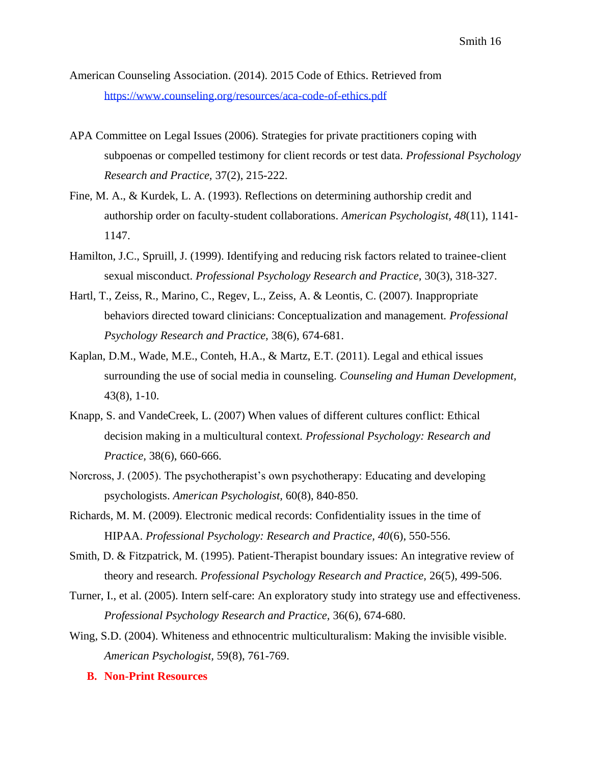American Counseling Association. (2014). 2015 Code of Ethics. Retrieved from <https://www.counseling.org/resources/aca-code-of-ethics.pdf>

- APA Committee on Legal Issues (2006). Strategies for private practitioners coping with subpoenas or compelled testimony for client records or test data. *Professional Psychology Research and Practice,* 37(2), 215-222.
- Fine, M. A., & Kurdek, L. A. (1993). Reflections on determining authorship credit and authorship order on faculty-student collaborations. *American Psychologist, 48*(11), 1141- 1147.
- Hamilton, J.C., Spruill, J. (1999). Identifying and reducing risk factors related to trainee-client sexual misconduct. *Professional Psychology Research and Practice,* 30(3), 318-327.
- Hartl, T., Zeiss, R., Marino, C., Regev, L., Zeiss, A. & Leontis, C. (2007). Inappropriate behaviors directed toward clinicians: Conceptualization and management. *Professional Psychology Research and Practice,* 38(6), 674-681.
- Kaplan, D.M., Wade, M.E., Conteh, H.A., & Martz, E.T. (2011). Legal and ethical issues surrounding the use of social media in counseling. *Counseling and Human Development,*  43(8), 1-10.
- Knapp, S. and VandeCreek, L. (2007) When values of different cultures conflict: Ethical decision making in a multicultural context*. Professional Psychology: Research and Practice,* 38(6), 660-666.
- Norcross, J. (2005). The psychotherapist's own psychotherapy: Educating and developing psychologists. *American Psychologist,* 60(8), 840-850.
- Richards, M. M. (2009). Electronic medical records: Confidentiality issues in the time of HIPAA. *Professional Psychology: Research and Practice, 40*(6), 550-556.
- Smith, D. & Fitzpatrick, M. (1995). Patient-Therapist boundary issues: An integrative review of theory and research. *Professional Psychology Research and Practice,* 26(5), 499-506.
- Turner, I., et al. (2005). Intern self-care: An exploratory study into strategy use and effectiveness. *Professional Psychology Research and Practice,* 36(6), 674-680.
- Wing, S.D. (2004). Whiteness and ethnocentric multiculturalism: Making the invisible visible. *American Psychologist,* 59(8), 761-769.
	- **B. Non-Print Resources**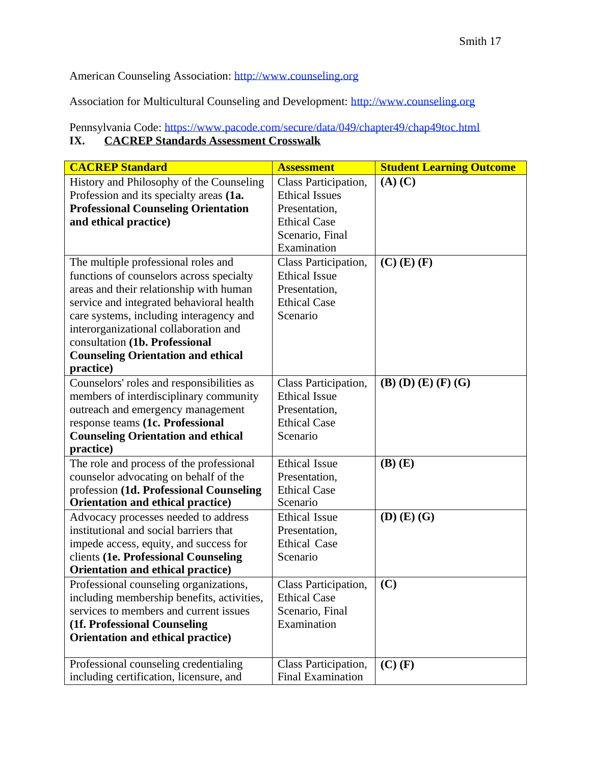American Counseling Association: [http://www.counseling.org](http://www.counseling.org/)

Association for Multicultural Counseling and Development: [http://www.counseling.org](http://www.counseling.org/)

# Pennsylvania Code:<https://www.pacode.com/secure/data/049/chapter49/chap49toc.html> **IX. CACREP Standards Assessment Crosswalk**

| <b>CACREP Standard</b>                                                                                                                                                                                                                                                                                                                                                                                                   | <b>Assessment</b>                                                                                                                                                                                                           |                                                                     |
|--------------------------------------------------------------------------------------------------------------------------------------------------------------------------------------------------------------------------------------------------------------------------------------------------------------------------------------------------------------------------------------------------------------------------|-----------------------------------------------------------------------------------------------------------------------------------------------------------------------------------------------------------------------------|---------------------------------------------------------------------|
| History and Philosophy of the Counseling<br>Profession and its specialty areas (1a.<br><b>Professional Counseling Orientation</b><br>and ethical practice)<br>The multiple professional roles and<br>functions of counselors across specialty<br>areas and their relationship with human<br>service and integrated behavioral health<br>care systems, including interagency and<br>interorganizational collaboration and | Class Participation,<br><b>Ethical Issues</b><br>Presentation,<br><b>Ethical Case</b><br>Scenario, Final<br>Examination<br>Class Participation,<br><b>Ethical Issue</b><br>Presentation,<br><b>Ethical Case</b><br>Scenario | <b>Student Learning Outcome</b><br>$(A)$ $(C)$<br>$(C)$ $(E)$ $(F)$ |
| consultation (1b. Professional<br><b>Counseling Orientation and ethical</b><br>practice)                                                                                                                                                                                                                                                                                                                                 |                                                                                                                                                                                                                             |                                                                     |
| Counselors' roles and responsibilities as<br>members of interdisciplinary community<br>outreach and emergency management<br>response teams (1c. Professional<br><b>Counseling Orientation and ethical</b><br>practice)                                                                                                                                                                                                   | Class Participation,<br><b>Ethical Issue</b><br>Presentation,<br><b>Ethical Case</b><br>Scenario                                                                                                                            | $(B)$ $(D)$ $(E)$ $(F)$ $(G)$                                       |
| The role and process of the professional<br>counselor advocating on behalf of the<br>profession (1d. Professional Counseling<br>Orientation and ethical practice)                                                                                                                                                                                                                                                        | <b>Ethical Issue</b><br>Presentation,<br><b>Ethical Case</b><br>Scenario                                                                                                                                                    | $(B)$ $(E)$                                                         |
| Advocacy processes needed to address<br>institutional and social barriers that<br>impede access, equity, and success for<br>clients (1e. Professional Counseling<br>Orientation and ethical practice)                                                                                                                                                                                                                    | <b>Ethical Issue</b><br>Presentation,<br><b>Ethical Case</b><br>Scenario                                                                                                                                                    | $(D)$ $(E)$ $(G)$                                                   |
| Professional counseling organizations,<br>including membership benefits, activities,<br>services to members and current issues<br>(1f. Professional Counseling<br>Orientation and ethical practice)                                                                                                                                                                                                                      | Class Participation,<br><b>Ethical Case</b><br>Scenario, Final<br>Examination                                                                                                                                               | (C)                                                                 |
| Professional counseling credentialing<br>including certification, licensure, and                                                                                                                                                                                                                                                                                                                                         | Class Participation,<br><b>Final Examination</b>                                                                                                                                                                            | $(C)$ $(F)$                                                         |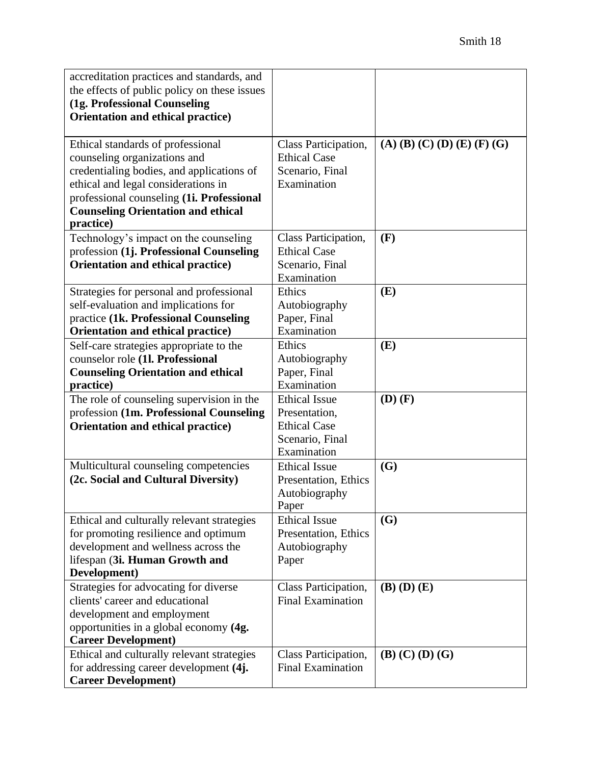| accreditation practices and standards, and             |                                |                               |
|--------------------------------------------------------|--------------------------------|-------------------------------|
| the effects of public policy on these issues           |                                |                               |
| (1g. Professional Counseling                           |                                |                               |
| Orientation and ethical practice)                      |                                |                               |
|                                                        |                                |                               |
| Ethical standards of professional                      | Class Participation,           | $(A)$ (B) (C) (D) (E) (F) (G) |
| counseling organizations and                           | <b>Ethical Case</b>            |                               |
| credentialing bodies, and applications of              | Scenario, Final                |                               |
| ethical and legal considerations in                    | Examination                    |                               |
| professional counseling (1i. Professional              |                                |                               |
| <b>Counseling Orientation and ethical</b><br>practice) |                                |                               |
| Technology's impact on the counseling                  | Class Participation,           | (F)                           |
| profession (1j. Professional Counseling                | <b>Ethical Case</b>            |                               |
| Orientation and ethical practice)                      | Scenario, Final                |                               |
|                                                        | Examination                    |                               |
| Strategies for personal and professional               | Ethics                         | (E)                           |
| self-evaluation and implications for                   | Autobiography                  |                               |
| practice (1k. Professional Counseling                  | Paper, Final                   |                               |
| Orientation and ethical practice)                      | Examination                    |                               |
| Self-care strategies appropriate to the                | Ethics                         | (E)                           |
| counselor role (1l. Professional                       | Autobiography                  |                               |
| <b>Counseling Orientation and ethical</b>              | Paper, Final                   |                               |
| practice)                                              | Examination                    |                               |
| The role of counseling supervision in the              | <b>Ethical Issue</b>           | $(D)$ $(F)$                   |
| profession (1m. Professional Counseling                | Presentation,                  |                               |
| Orientation and ethical practice)                      | <b>Ethical Case</b>            |                               |
|                                                        | Scenario, Final<br>Examination |                               |
| Multicultural counseling competencies                  | <b>Ethical Issue</b>           | (G)                           |
| (2c. Social and Cultural Diversity)                    | Presentation, Ethics           |                               |
|                                                        | Autobiography                  |                               |
|                                                        | Paper                          |                               |
| Ethical and culturally relevant strategies             | <b>Ethical Issue</b>           | (G)                           |
| for promoting resilience and optimum                   | Presentation, Ethics           |                               |
| development and wellness across the                    | Autobiography                  |                               |
| lifespan (3i. Human Growth and                         | Paper                          |                               |
| Development)                                           |                                |                               |
| Strategies for advocating for diverse                  | Class Participation,           | $(B)$ $(D)$ $(E)$             |
| clients' career and educational                        | <b>Final Examination</b>       |                               |
| development and employment                             |                                |                               |
| opportunities in a global economy (4g.                 |                                |                               |
| <b>Career Development)</b>                             |                                |                               |
| Ethical and culturally relevant strategies             | Class Participation,           | $(B)$ $(C)$ $(D)$ $(G)$       |
| for addressing career development (4j.                 | <b>Final Examination</b>       |                               |
| <b>Career Development)</b>                             |                                |                               |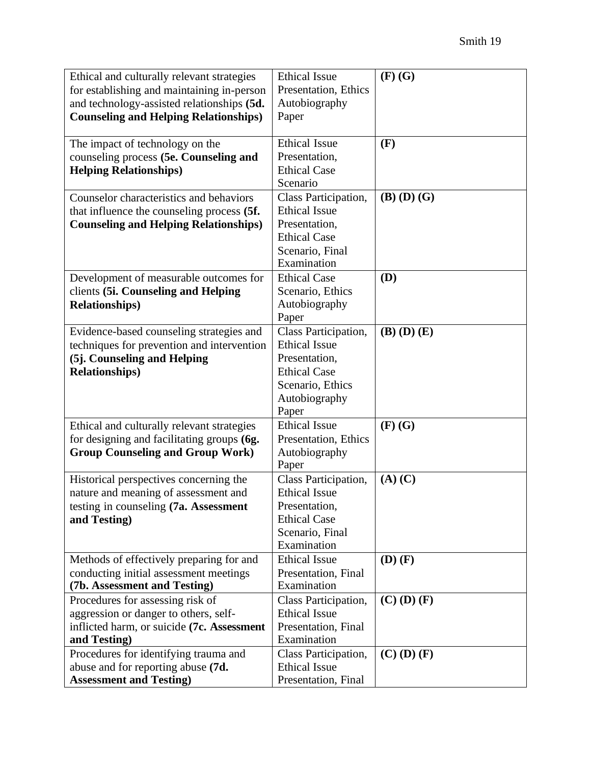| Ethical and culturally relevant strategies   | <b>Ethical Issue</b> | $(F)$ $(G)$       |
|----------------------------------------------|----------------------|-------------------|
| for establishing and maintaining in-person   | Presentation, Ethics |                   |
| and technology-assisted relationships (5d.   | Autobiography        |                   |
| <b>Counseling and Helping Relationships)</b> | Paper                |                   |
|                                              |                      |                   |
| The impact of technology on the              | <b>Ethical Issue</b> | (F)               |
| counseling process (5e. Counseling and       | Presentation,        |                   |
| <b>Helping Relationships)</b>                | <b>Ethical Case</b>  |                   |
|                                              | Scenario             |                   |
| Counselor characteristics and behaviors      | Class Participation, | $(B)$ $(D)$ $(G)$ |
| that influence the counseling process (5f.   | <b>Ethical Issue</b> |                   |
| <b>Counseling and Helping Relationships)</b> | Presentation,        |                   |
|                                              | <b>Ethical Case</b>  |                   |
|                                              | Scenario, Final      |                   |
|                                              | Examination          |                   |
| Development of measurable outcomes for       | <b>Ethical Case</b>  | (D)               |
| clients (5i. Counseling and Helping          | Scenario, Ethics     |                   |
| <b>Relationships</b> )                       | Autobiography        |                   |
|                                              | Paper                |                   |
| Evidence-based counseling strategies and     | Class Participation, | $(B)$ $(D)$ $(E)$ |
| techniques for prevention and intervention   | <b>Ethical Issue</b> |                   |
| (5j. Counseling and Helping                  | Presentation,        |                   |
| <b>Relationships</b> )                       | <b>Ethical Case</b>  |                   |
|                                              | Scenario, Ethics     |                   |
|                                              | Autobiography        |                   |
|                                              | Paper                |                   |
| Ethical and culturally relevant strategies   | <b>Ethical Issue</b> | $(F)$ $(G)$       |
| for designing and facilitating groups (6g.   | Presentation, Ethics |                   |
| <b>Group Counseling and Group Work)</b>      | Autobiography        |                   |
|                                              | Paper                |                   |
| Historical perspectives concerning the       | Class Participation, | $(A)$ $(C)$       |
| nature and meaning of assessment and         | <b>Ethical Issue</b> |                   |
| testing in counseling (7a. Assessment        | Presentation,        |                   |
| and Testing)                                 | <b>Ethical Case</b>  |                   |
|                                              | Scenario, Final      |                   |
|                                              | Examination          |                   |
| Methods of effectively preparing for and     | <b>Ethical Issue</b> | $(D)$ $(F)$       |
| conducting initial assessment meetings       | Presentation, Final  |                   |
| (7b. Assessment and Testing)                 | Examination          |                   |
| Procedures for assessing risk of             | Class Participation, | $(C)$ $(D)$ $(F)$ |
| aggression or danger to others, self-        | <b>Ethical Issue</b> |                   |
| inflicted harm, or suicide (7c. Assessment   | Presentation, Final  |                   |
| and Testing)                                 | Examination          |                   |
| Procedures for identifying trauma and        | Class Participation, | $(C)$ $(D)$ $(F)$ |
| abuse and for reporting abuse (7d.           | <b>Ethical Issue</b> |                   |
| <b>Assessment and Testing)</b>               | Presentation, Final  |                   |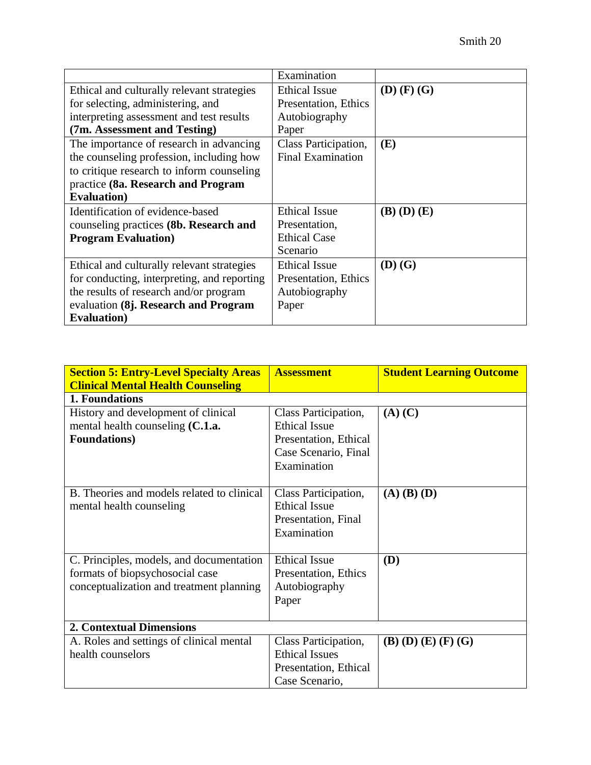|                                             | Examination              |                   |
|---------------------------------------------|--------------------------|-------------------|
| Ethical and culturally relevant strategies  | <b>Ethical Issue</b>     | $(D)$ $(F)$ $(G)$ |
| for selecting, administering, and           | Presentation, Ethics     |                   |
| interpreting assessment and test results    | Autobiography            |                   |
| (7m. Assessment and Testing)                | Paper                    |                   |
| The importance of research in advancing     | Class Participation,     | (E)               |
| the counseling profession, including how    | <b>Final Examination</b> |                   |
| to critique research to inform counseling   |                          |                   |
| practice (8a. Research and Program          |                          |                   |
| <b>Evaluation</b> )                         |                          |                   |
| Identification of evidence-based            | <b>Ethical Issue</b>     | $(B)$ $(D)$ $(E)$ |
| counseling practices (8b. Research and      | Presentation,            |                   |
| <b>Program Evaluation</b> )                 | <b>Ethical Case</b>      |                   |
|                                             | Scenario                 |                   |
| Ethical and culturally relevant strategies  | <b>Ethical Issue</b>     | $(D)$ $(G)$       |
| for conducting, interpreting, and reporting | Presentation, Ethics     |                   |
| the results of research and/or program      | Autobiography            |                   |
| evaluation (8j. Research and Program        | Paper                    |                   |
| <b>Evaluation</b> )                         |                          |                   |

| <b>Section 5: Entry-Level Specialty Areas</b> | <b>Assessment</b>     | <b>Student Learning Outcome</b> |
|-----------------------------------------------|-----------------------|---------------------------------|
| <b>Clinical Mental Health Counseling</b>      |                       |                                 |
| 1. Foundations                                |                       |                                 |
| History and development of clinical           | Class Participation,  | $(A)$ $(C)$                     |
| mental health counseling (C.1.a.              | <b>Ethical Issue</b>  |                                 |
| <b>Foundations</b> )                          | Presentation, Ethical |                                 |
|                                               | Case Scenario, Final  |                                 |
|                                               | Examination           |                                 |
|                                               |                       |                                 |
| B. Theories and models related to clinical    | Class Participation,  | $(A)$ $(B)$ $(D)$               |
| mental health counseling                      | <b>Ethical Issue</b>  |                                 |
|                                               | Presentation, Final   |                                 |
|                                               | Examination           |                                 |
|                                               |                       |                                 |
| C. Principles, models, and documentation      | <b>Ethical Issue</b>  | (D)                             |
| formats of biopsychosocial case               | Presentation, Ethics  |                                 |
| conceptualization and treatment planning      | Autobiography         |                                 |
|                                               | Paper                 |                                 |
|                                               |                       |                                 |
| <b>2. Contextual Dimensions</b>               |                       |                                 |
| A. Roles and settings of clinical mental      | Class Participation,  | $(B)$ $(D)$ $(E)$ $(F)$ $(G)$   |
| health counselors                             | <b>Ethical Issues</b> |                                 |
|                                               | Presentation, Ethical |                                 |
|                                               | Case Scenario,        |                                 |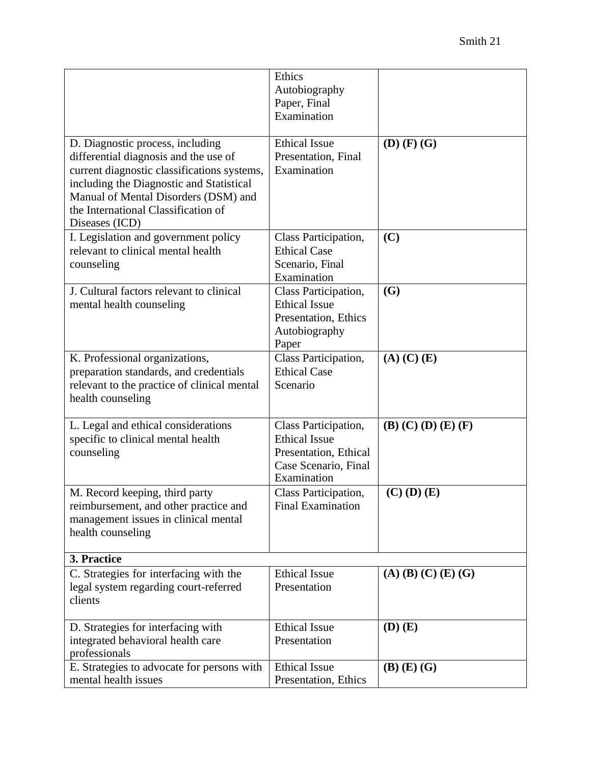|                                                                                                                                                                                                                                                                       | Ethics<br>Autobiography<br>Paper, Final<br>Examination                                                       |                       |
|-----------------------------------------------------------------------------------------------------------------------------------------------------------------------------------------------------------------------------------------------------------------------|--------------------------------------------------------------------------------------------------------------|-----------------------|
| D. Diagnostic process, including<br>differential diagnosis and the use of<br>current diagnostic classifications systems,<br>including the Diagnostic and Statistical<br>Manual of Mental Disorders (DSM) and<br>the International Classification of<br>Diseases (ICD) | <b>Ethical Issue</b><br>Presentation, Final<br>Examination                                                   | $(D)$ $(F)$ $(G)$     |
| I. Legislation and government policy<br>relevant to clinical mental health<br>counseling                                                                                                                                                                              | Class Participation,<br><b>Ethical Case</b><br>Scenario, Final<br>Examination                                | (C)                   |
| J. Cultural factors relevant to clinical<br>mental health counseling                                                                                                                                                                                                  | Class Participation,<br><b>Ethical Issue</b><br>Presentation, Ethics<br>Autobiography<br>Paper               | (G)                   |
| K. Professional organizations,<br>preparation standards, and credentials<br>relevant to the practice of clinical mental<br>health counseling                                                                                                                          | Class Participation,<br><b>Ethical Case</b><br>Scenario                                                      | $(A)$ $(C)$ $(E)$     |
| L. Legal and ethical considerations<br>specific to clinical mental health<br>counseling                                                                                                                                                                               | Class Participation,<br><b>Ethical Issue</b><br>Presentation, Ethical<br>Case Scenario, Final<br>Examination | $(B)$ (C) (D) (E) (F) |
| M. Record keeping, third party<br>reimbursement, and other practice and<br>management issues in clinical mental<br>health counseling                                                                                                                                  | Class Participation,<br><b>Final Examination</b>                                                             | $(C)$ $(D)$ $(E)$     |
| 3. Practice                                                                                                                                                                                                                                                           |                                                                                                              |                       |
| C. Strategies for interfacing with the<br>legal system regarding court-referred<br>clients                                                                                                                                                                            | <b>Ethical Issue</b><br>Presentation                                                                         | $(A)$ (B) (C) (E) (G) |
| D. Strategies for interfacing with<br>integrated behavioral health care<br>professionals                                                                                                                                                                              | <b>Ethical Issue</b><br>Presentation                                                                         | $(D)$ $(E)$           |
| E. Strategies to advocate for persons with<br>mental health issues                                                                                                                                                                                                    | <b>Ethical Issue</b><br>Presentation, Ethics                                                                 | $(B)$ $(E)$ $(G)$     |